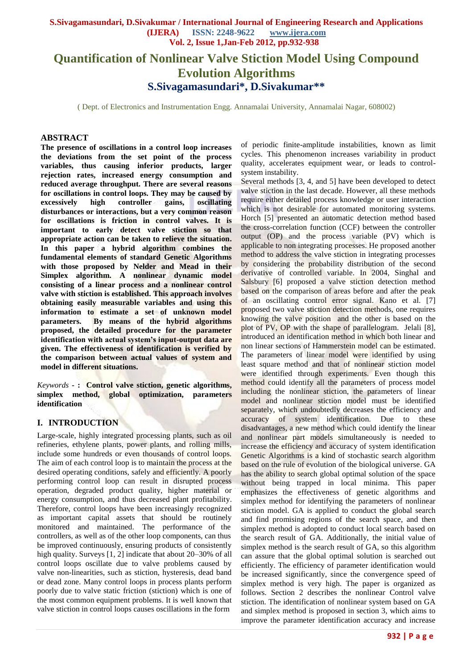# **Quantification of Nonlinear Valve Stiction Model Using Compound Evolution Algorithms S.Sivagamasundari\*, D.Sivakumar\*\***

( Dept. of Electronics and Instrumentation Engg. Annamalai University, Annamalai Nagar, 608002)

### **ABSTRACT**

**The presence of oscillations in a control loop increases the deviations from the set point of the process variables, thus causing inferior products, larger rejection rates, increased energy consumption and reduced average throughput. There are several reasons for oscillations in control loops. They may be caused by excessively high controller gains, oscillating disturbances or interactions, but a very common reason for oscillations is friction in control valves. It is important to early detect valve stiction so that appropriate action can be taken to relieve the situation. In this paper a hybrid algorithm combines the fundamental elements of standard Genetic Algorithms with those proposed by Nelder and Mead in their Simplex algorithm. A nonlinear dynamic model consisting of a linear process and a nonlinear control valve with stiction is established. This approach involves obtaining easily measurable variables and using this information to estimate a set of unknown model parameters. By means of the hybrid algorithms proposed, the detailed procedure for the parameter identification with actual system's input-output data are given. The effectiveness of identification is verified by the comparison between actual values of system and model in different situations.** 

*Keywords* **- : Control valve stiction, genetic algorithms, simplex method, global optimization, parameters identification**

## **I. INTRODUCTION**

Large-scale, highly integrated processing plants, such as oil refineries, ethylene plants, power plants, and rolling mills, include some hundreds or even thousands of control loops. The aim of each control loop is to maintain the process at the desired operating conditions, safely and efficiently. A poorly performing control loop can result in disrupted process operation, degraded product quality, higher material or energy consumption, and thus decreased plant profitability. Therefore, control loops have been increasingly recognized as important capital assets that should be routinely monitored and maintained. The performance of the controllers, as well as of the other loop components, can thus be improved continuously, ensuring products of consistently high quality. Surveys [1, 2] indicate that about 20–30% of all control loops oscillate due to valve problems caused by valve non-linearities, such as stiction, hysteresis, dead band or dead zone. Many control loops in process plants perform poorly due to valve static friction (stiction) which is one of the most common equipment problems. It is well known that valve stiction in control loops causes oscillations in the form

of periodic finite-amplitude instabilities, known as limit cycles. This phenomenon increases variability in product quality, accelerates equipment wear, or leads to controlsystem instability.

Several methods [3, 4, and 5] have been developed to detect valve stiction in the last decade. However, all these methods require either detailed process knowledge or user interaction which is not desirable for automated monitoring systems. Horch [5] presented an automatic detection method based the cross-correlation function (CCF) between the controller output (OP) and the process variable (PV) which is applicable to non integrating processes. He proposed another method to address the valve stiction in integrating processes by considering the probability distribution of the second derivative of controlled variable. In 2004, Singhal and Salsbury [6] proposed a valve stiction detection method based on the comparison of areas before and after the peak of an oscillating control error signal. Kano et al. [7] proposed two valve stiction detection methods, one requires knowing the valve position and the other is based on the plot of PV, OP with the shape of parallelogram. Jelali [8], introduced an identification method in which both linear and non linear sections of Hammerstein model can be estimated. The parameters of linear model were identified by using least square method and that of nonlinear stiction model were identified through experiments. Even though this method could identify all the parameters of process model including the nonlinear stiction, the parameters of linear model and nonlinear stiction model must be identified separately, which undoubtedly decreases the efficiency and accuracy of system identification. Due to these disadvantages, a new method which could identify the linear and nonlinear part models simultaneously is needed to increase the efficiency and accuracy of system identification Genetic Algorithms is a kind of stochastic search algorithm based on the rule of evolution of the biological universe. GA has the ability to search global optimal solution of the space without being trapped in local minima. This paper emphasizes the effectiveness of genetic algorithms and simplex method for identifying the parameters of nonlinear stiction model. GA is applied to conduct the global search and find promising regions of the search space, and then simplex method is adopted to conduct local search based on the search result of GA. Additionally, the initial value of simplex method is the search result of GA, so this algorithm can assure that the global optimal solution is searched out efficiently. The efficiency of parameter identification would be increased significantly, since the convergence speed of simplex method is very high. The paper is organized as follows. Section 2 describes the nonlinear Control valve stiction. The identification of nonlinear system based on GA and simplex method is proposed in section 3, which aims to improve the parameter identification accuracy and increase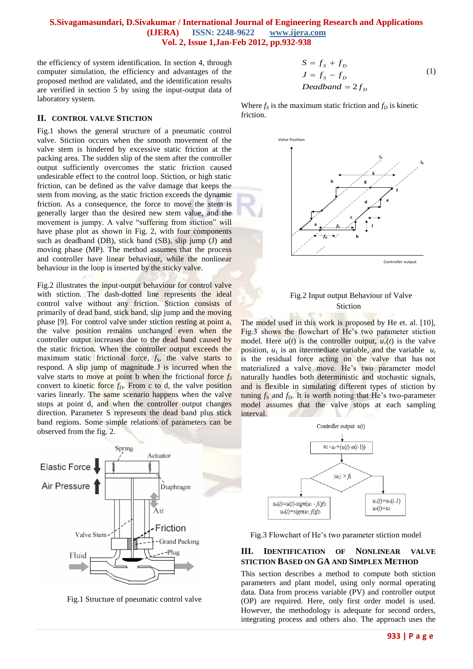the efficiency of system identification. In section 4, through computer simulation, the efficiency and advantages of the proposed method are validated, and the identification results are verified in section 5 by using the input-output data of laboratory system.

## **II. CONTROL VALVE STICTION**

Fig.1 shows the general structure of a pneumatic control valve. Stiction occurs when the smooth movement of the valve stem is hindered by excessive static friction at the packing area. The sudden slip of the stem after the controller output sufficiently overcomes the static friction caused undesirable effect to the control loop. Stiction, or high static friction, can be defined as the valve damage that keeps the stem from moving, as the static friction exceeds the dynamic friction. As a consequence, the force to move the stem is generally larger than the desired new stem value, and the movement is jumpy. A valve "suffering from stiction" will have phase plot as shown in Fig. 2, with four components such as deadband (DB), stick band (SB), slip jump (J) and moving phase (MP). The method assumes that the process and controller have linear behaviour, while the nonlinear behaviour in the loop is inserted by the sticky valve.

Fig.2 illustrates the input-output behaviour for control valve with stiction. The dash-dotted line represents the ideal control valve without any friction. Stiction consists of primarily of dead band, stick band, slip jump and the moving phase [9]. For control valve under stiction resting at point a, the valve position remains unchanged even when the controller output increases due to the dead band caused by the static friction. When the controller output exceeds the maximum static frictional force, *fS*, the valve starts to respond. A slip jump of magnitude J is incurred when the valve starts to move at point b when the frictional force *f<sup>S</sup>* convert to kinetic force  $f<sub>D</sub>$ . From c to d, the valve position varies linearly. The same scenario happens when the valve stops at point d, and when the controller output changes direction. Parameter S represents the dead band plus stick band regions. Some simple relations of parameters can be observed from the fig. 2.



Fig.1 Structure of pneumatic control valve

$$
S = fS + fD
$$
  
\n
$$
J = fS - fD
$$
  
\n
$$
Deadband = 2fD
$$
 (1)

Where  $f_S$  is the maximum static friction and  $f_D$  is kinetic friction.



## Fig.2 Input output Behaviour of Valve Stiction

The model used in this work is proposed by He et. al. [10], Fig.3 shows the flowchart of He's two parameter stiction model. Here  $u(t)$  is the controller output,  $u<sub>v</sub>(t)$  is the valve position,  $u_1$  is an intermediate variable, and the variable  $u_r$ is the residual force acting on the valve that has not materialized a valve move. He's two parameter model naturally handles both deterministic and stochastic signals, and is flexible in simulating different types of stiction by tuning  $f_S$  and  $f_D$ . It is worth noting that He's two-parameter model assumes that the valve stops at each sampling interval.



Fig.3 Flowchart of He"s two parameter stiction model

# **III. IDENTIFICATION OF NONLINEAR VALVE STICTION BASED ON GA AND SIMPLEX METHOD**

This section describes a method to compute both stiction parameters and plant model, using only normal operating data. Data from process variable (PV) and controller output (OP) are required. Here, only first order model is used. However, the methodology is adequate for second orders, integrating process and others also. The approach uses the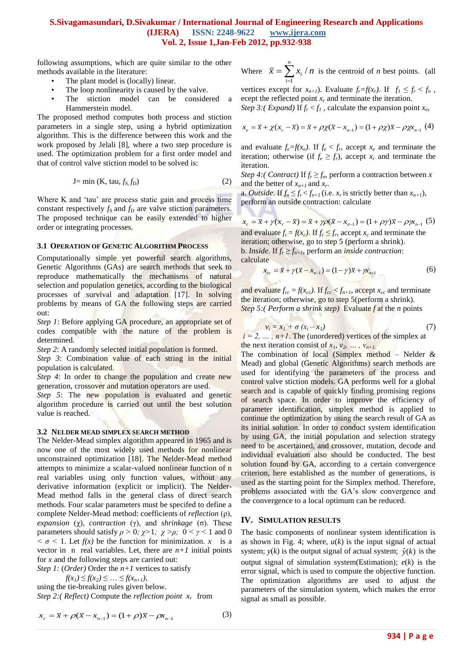V. B

following assumptions, which are quite similar to the other methods available in the literature:

- The plant model is (locally) linear.
- The loop nonlinearity is caused by the valve.
- The stiction model can be considered a Hammerstein model.

The proposed method computes both process and stiction parameters in a single step, using a hybrid optimization algorithm. This is the difference between this work and the work proposed by Jelali [8], where a two step procedure is used. The optimization problem for a first order model and that of control valve stiction model to be solved is:

$$
J = \min(K, \, \text{tau}, f_S, f_D) \tag{2}
$$

Where K and 'tau' are process static gain and process time constant respectively  $f_S$  and  $f_D$  are valve stiction parameters. The proposed technique can be easily extended to higher order or integrating processes.

#### **3.1 OPERATION OF GENETIC ALGORITHM PROCESS**

Computationally simple yet powerful search algorithms, Genetic Algorithms (GAs) are search methods that seek to reproduce mathematically the mechanisms of natural selection and population genetics, according to the biological processes of survival and adaptation [17]. In solving problems by means of GA the following steps are carried out:

*Step 1*: Before applying GA procedure, an appropriate set of codes compatible with the nature of the problem is determined.

*Step 2*: A randomly selected initial population is formed.

*Step 3*: Combination value of each string in the initial population is calculated.

*Step 4*: In order to change the population and create new generation, crossover and mutation operators are used.

*Step 5*: The new population is evaluated and genetic algorithm procedure is carried out until the best solution value is reached.

#### **3.2 NELDER MEAD SIMPLEX SEARCH METHOD**

The Nelder-Mead simplex algorithm appeared in 1965 and is now one of the most widely used methods for nonlinear unconstrained optimization [18]. The Nelder-Mead method attempts to minimize a scalar-valued nonlinear function of n real variables using only function values, without any derivative information (explicit or implicit). The Nelder-Mead method falls in the general class of direct search methods. Four scalar parameters must be specifed to define a complete Nelder-Mead method: coefficients of *reflection* (ρ), *expansion* (χ), *contraction* (γ), and *shrinkage* (σ). These parameters should satisfy  $ρ > 0$ ;  $χ > 1$ ;  $χ > ρ$ ;  $0 < γ < 1$  and 0  $\sigma$  < 1. Let  $f(x)$  be the function for minimization. *x* is a vector in n real variables. Let, there are  $n+1$  initial points for *x* and the following steps are carried out:

*Step 1:* (*Order)* Order the *n+1* vertices to satisfy

 $f(x_1) \leq f(x_2) \leq \ldots \leq f(x_{n+1}),$ 

using the tie-breaking rules given below. *Step 2:( Reflect)* Compute the *reflection point*  $x_r$  from

$$
x_r = \bar{x} + \rho(\bar{x} - x_{n-1}) = (1 + \rho)\bar{x} - \rho x_{n-1}
$$
 (3)

Where  $\bar{x} = \sum x_i / n$ *n i i* /  $=\sum_{i=1} x_i / n$  is the centroid of *n* best points. (all

vertices except for  $x_{n+1}$ ). Evaluate  $f_r = f(x_r)$ . If  $f_1 \leq f_r < f_n$ , ecept the reflected point *x<sup>r</sup>* and terminate the iteration. *Step 3:*(*Expand*) If  $f_r < f_l$ , calculate the expansion point  $x_e$ ,

$$
x_e = \overline{x} + \chi(x_r - \overline{x}) = \overline{x} + \rho \chi(\overline{x} - x_{n-1}) = (1 + \rho \chi)\overline{x} - \rho \chi x_{n-1}
$$
(4)

and evaluate  $f_e = f(x_e)$ . If  $f_e < f_r$ , accept  $x_e$  and terminate the iteration; otherwise (if  $f_e \geq f_r$ ), accept  $x_r$  and terminate the iteration.

*Step 4:*(*Contract*) If  $f_r \geq f_n$ , perform a contraction between *x* and the better of  $x_{n+1}$  and  $x_r$ .

a. *Outside*. If  $f_n \leq f_r < f_{n+1}$  (i.e.  $x_r$  is strictly better than  $x_{n+1}$ ), perform an outside contraction: calculate

$$
x_c = \overline{x} + \gamma(x_r - \overline{x}) = \overline{x} + \gamma \rho(\overline{x} - x_{n-1}) = (1 + \rho \gamma)\overline{x} - \rho \gamma x_{n-1} (5)
$$
  
and evaluate  $f - f(x)$ . If  $f < f$  accept x, and terminate the

and evaluate  $f_c = f(x_c)$ . If  $f_c \leq f_r$ , accept  $x_c$  and terminate the iteration; otherwise, go to step 5 (perform a shrink). b. *Inside*. If  $f_r \geq f_{n+1}$ , perform an *inside contraction*: calculate

 $x_{cc} = \bar{x} + \gamma(\bar{x} - x_{n-1}) = (1 - \gamma)\bar{x} + \gamma x_{n+1}$  (6)

and evaluate  $f_{cc} = f(x_{cc})$ . If  $f_{cc} < f_{n+1}$ , accept  $x_{cc}$  and terminate the iteration; otherwise, go to step 5(perform a shrink). *Step 5:( Perform a shrink step)* Evaluate *f* at the *n* points

$$
v_i = x_1 + \sigma (x_i - x_1) \tag{7}
$$

 $i = 2, \ldots, n+1$ . The (unordered) vertices of the simplex at the next iteration consist of  $x_1$ ,  $v_2$ , ...,  $v_{n+1}$ .

The combination of local (Simplex method – Nelder  $\&$ Mead) and global (Genetic Algorithms) search methods are used for identifying the parameters of the process and control valve stiction models. GA performs well for a global search and is capable of quickly finding promising regions of search space. In order to improve the efficiency of parameter identification, simplex method is applied to continue the optimization by using the search result of GA as its initial solution. In order to conduct system identification by using GA, the initial population and selection strategy need to be ascertained, and crossover, mutation, decode and individual evaluation also should be conducted. The best solution found by GA, according to a certain convergence criterion, here established as the number of generations, is used as the starting point for the Simplex method. Therefore, problems associated with the GA's slow convergence and the convergence to a local optimum can be reduced.

#### **IV. SIMULATION RESULTS**

The basic components of nonlinear system identification is as shown in Fig. 4; where,  $u(k)$  is the input signal of actual system;  $y(k)$  is the output signal of actual system;  $\hat{y}(k)$  is the output signal of simulation system(Estimation); *e*(*k*) is the error signal, which is used to compute the objective function. The optimization algorithms are used to adjust the parameters of the simulation system, which makes the error signal as small as possible.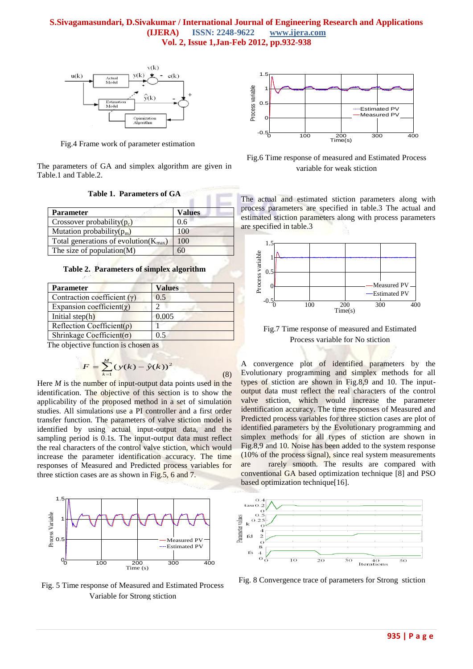

Fig.4 Frame work of parameter estimation

The parameters of GA and simplex algorithm are given in Table.1 and Table.2.

| <b>Parameter</b>                                   | <b>Values</b> |  |
|----------------------------------------------------|---------------|--|
| Crossover probability $(p_c)$                      | 0.6           |  |
| Mutation probability( $p_m$ )                      | 100           |  |
| Total generations of evolution( $K_{\text{max}}$ ) | 100           |  |
| The size of population $(M)$                       | 60            |  |

**Table 2. Parameters of simplex algorithm**

| <b>Parameter</b>                  | <b>Values</b> |  |  |  |
|-----------------------------------|---------------|--|--|--|
| Contraction coefficient $(y)$     | 0.5           |  |  |  |
| Expansion coefficient( $\chi$ )   |               |  |  |  |
| Initial step $(h)$                | 0.005         |  |  |  |
| Reflection Coefficient( $\rho$ )  |               |  |  |  |
| Shrinkage Coefficient( $\sigma$ ) | 0.5           |  |  |  |

The objective function is chosen as

$$
F = \sum_{k=1}^{M} (y(k) - \hat{y}(k))^2
$$
 (8)

Here *M* is the number of input-output data points used in the identification. The objective of this section is to show the applicability of the proposed method in a set of simulation studies. All simulations use a PI controller and a first order transfer function. The parameters of valve stiction model is identified by using actual input-output data, and the sampling period is 0.1s. The input-output data must reflect the real characters of the control valve stiction, which would increase the parameter identification accuracy. The time responses of Measured and Predicted process variables for three stiction cases are as shown in Fig.5, 6 and 7.



Fig. 5 Time response of Measured and Estimated Process Variable for Strong stiction



Fig.6 Time response of measured and Estimated Process variable for weak stiction

The actual and estimated stiction parameters along with process parameters are specified in table.3 The actual and estimated stiction parameters along with process parameters are specified in table.3



Fig.7 Time response of measured and Estimated Process variable for No stiction

A convergence plot of identified parameters by the Evolutionary programming and simplex methods for all types of stiction are shown in Fig.8,9 and 10. The inputoutput data must reflect the real characters of the control valve stiction, which would increase the parameter identification accuracy. The time responses of Measured and Predicted process variables for three stiction cases are plot of identified parameters by the Evolutionary programming and simplex methods for all types of stiction are shown in Fig.8,9 and 10. Noise has been added to the system response (10% of the process signal), since real system measurements are rarely smooth. The results are compared with conventional GA based optimization technique [8] and PSO based optimization technique[16].



Fig. 8 Convergence trace of parameters for Strong stiction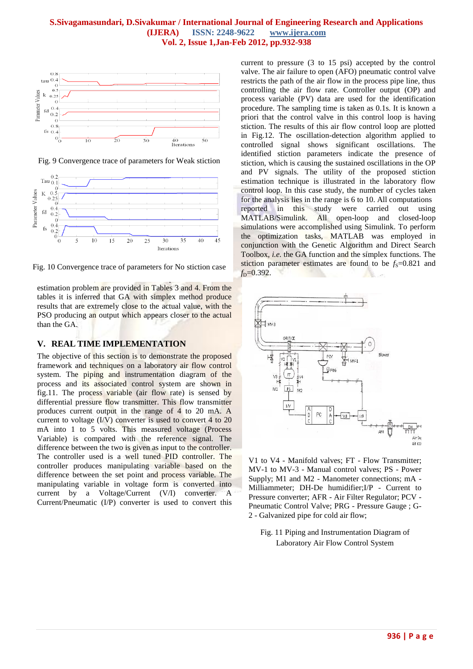

Fig. 9 Convergence trace of parameters for Weak stiction



Fig. 10 Convergence trace of parameters for No stiction case

estimation problem are provided in Tables 3 and 4. From the tables it is inferred that GA with simplex method produce results that are extremely close to the actual value, with the PSO producing an output which appears closer to the actual than the GA.

The results of GA, PSO and GA with simplex methods to the

## **V. REAL TIME IMPLEMENTATION**

The objective of this section is to demonstrate the proposed framework and techniques on a laboratory air flow control system. The piping and instrumentation diagram of the process and its associated control system are shown in fig.11. The process variable (air flow rate) is sensed by differential pressure flow transmitter. This flow transmitter produces current output in the range of 4 to 20 mA. A current to voltage (I/V) converter is used to convert 4 to 20 mA into 1 to 5 volts. This measured voltage (Process Variable) is compared with the reference signal. The difference between the two is given as input to the controller. The controller used is a well tuned PID controller. The controller produces manipulating variable based on the difference between the set point and process variable. The manipulating variable in voltage form is converted into current by a Voltage/Current (V/I) converter. A Current/Pneumatic (I/P) converter is used to convert this

current to pressure (3 to 15 psi) accepted by the control valve. The air failure to open (AFO) pneumatic control valve restricts the path of the air flow in the process pipe line, thus controlling the air flow rate. Controller output (OP) and process variable (PV) data are used for the identification procedure. The sampling time is taken as 0.1s. It is known a priori that the control valve in this control loop is having stiction. The results of this air flow control loop are plotted in Fig.12. The oscillation-detection algorithm applied to controlled signal shows significant oscillations. The identified stiction parameters indicate the presence of stiction, which is causing the sustained oscillations in the OP and PV signals. The utility of the proposed stiction estimation technique is illustrated in the laboratory flow control loop. In this case study, the number of cycles taken for the analysis lies in the range is 6 to 10. All computations reported in this study were carried out using MATLAB/Simulink. All open-loop and closed-loop simulations were accomplished using Simulink. To perform the optimization tasks, MATLAB was employed in conjunction with the Genetic Algorithm and Direct Search Toolbox, *i.e.* the GA function and the simplex functions. The stiction parameter estimates are found to be  $f_s = 0.821$  and *f*D=0.392.



V1 to V4 - Manifold valves; FT - Flow Transmitter; MV-1 to MV-3 - Manual control valves; PS - Power Supply; M1 and M2 - Manometer connections; mA - Milliammeter; DH-De humidifier;I/P - Current to Pressure converter; AFR - Air Filter Regulator; PCV - Pneumatic Control Valve; PRG - Pressure Gauge ; G-2 - Galvanized pipe for cold air flow;

Fig. 11 Piping and Instrumentation Diagram of Laboratory Air Flow Control System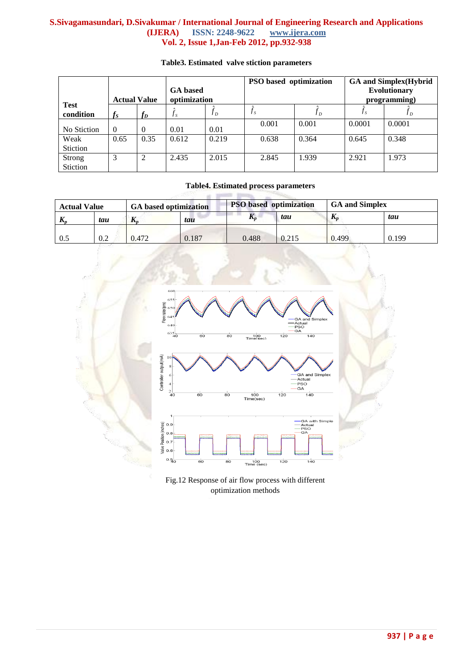|                          | <b>GA</b> based<br>optimization<br><b>Actual Value</b> |          |         | PSO based optimization |         | <b>GA and Simplex</b> (Hybrid<br><b>Evolutionary</b><br>programming) |        |        |
|--------------------------|--------------------------------------------------------|----------|---------|------------------------|---------|----------------------------------------------------------------------|--------|--------|
| <b>Test</b><br>condition | $f_S$                                                  | $f_D$    | $J_{S}$ | J <sub>D</sub>         | $f_{S}$ | Jр                                                                   | Js     | JD     |
| No Stiction              | $\theta$                                               | $\Omega$ | 0.01    | 0.01                   | 0.001   | 0.001                                                                | 0.0001 | 0.0001 |
| Weak<br>Stiction         | 0.65                                                   | 0.35     | 0.612   | 0.219                  | 0.638   | 0.364                                                                | 0.645  | 0.348  |
| Strong<br>Stiction       | 3                                                      | ↑<br>∠   | 2.435   | 2.015                  | 2.845   | 1.939                                                                | 2.921  | 1.973  |

# **Table3. Estimated valve stiction parameters**

# **Table4. Estimated process parameters**

| <b>Actual Value</b> |     | <b>GA</b> based optimization |       |       | <b>PSO</b> based optimization |              | <b>GA and Simplex</b> |  |
|---------------------|-----|------------------------------|-------|-------|-------------------------------|--------------|-----------------------|--|
| IX <sub>n</sub>     | tau | $\mathbf{u}$                 | tau   | Л,    | tau                           | $\mathbf{I}$ | tau                   |  |
| 0.5                 | 0.2 | 0.472                        | 0.187 | 0.488 | 0.215                         | 0.499        | 0.199                 |  |



Fig.12 Response of air flow process with different optimization methods